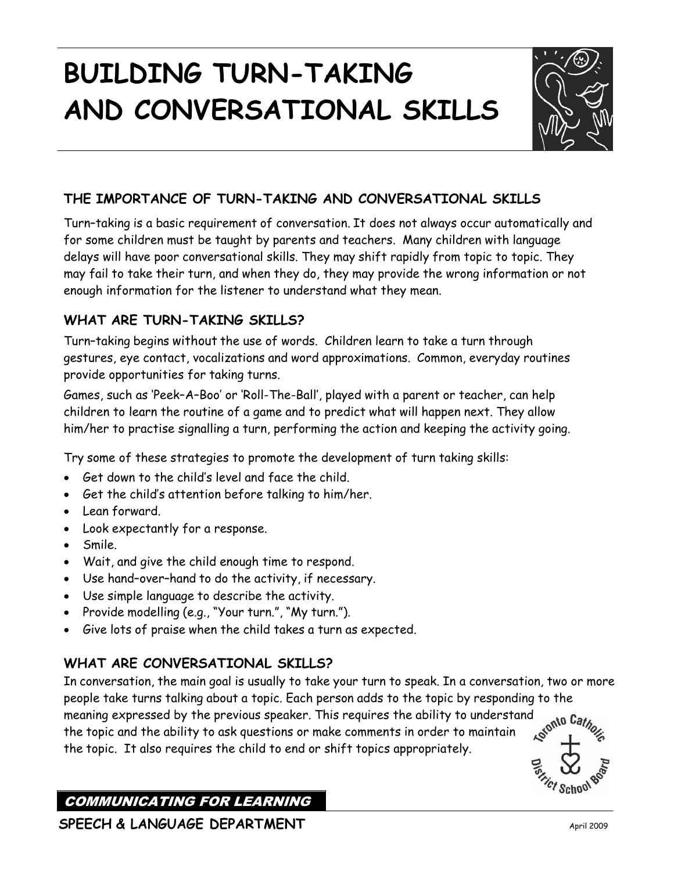# **BUILDING TURN-TAKING AND CONVERSATIONAL SKILLS**



## **THE IMPORTANCE OF TURN-TAKING AND CONVERSATIONAL SKILLS**

Turn–taking is a basic requirement of conversation. It does not always occur automatically and for some children must be taught by parents and teachers. Many children with language delays will have poor conversational skills. They may shift rapidly from topic to topic. They may fail to take their turn, and when they do, they may provide the wrong information or not enough information for the listener to understand what they mean.

### **WHAT ARE TURN-TAKING SKILLS?**

Turn–taking begins without the use of words. Children learn to take a turn through gestures, eye contact, vocalizations and word approximations. Common, everyday routines provide opportunities for taking turns.

Games, such as 'Peek–A–Boo' or 'Roll-The-Ball', played with a parent or teacher, can help children to learn the routine of a game and to predict what will happen next. They allow him/her to practise signalling a turn, performing the action and keeping the activity going.

Try some of these strategies to promote the development of turn taking skills:

- Get down to the child's level and face the child.
- Get the child's attention before talking to him/her.
- Lean forward.
- Look expectantly for a response.
- Smile.
- Wait, and give the child enough time to respond.
- Use hand–over–hand to do the activity, if necessary.
- Use simple language to describe the activity.
- Provide modelling (e.g., "Your turn.", "My turn.").
- Give lots of praise when the child takes a turn as expected.

## **WHAT ARE CONVERSATIONAL SKILLS?**

In conversation, the main goal is usually to take your turn to speak. In a conversation, two or more people take turns talking about a topic. Each person adds to the topic by responding to the meaning expressed by the previous speaker. This requires the ability to understand anto Cather to the topic and the ability to ask questions or make comments in andon to make  $\epsilon$ the topic and the ability to ask questions or make comments in order to maintain the topic. It also requires the child to end or shift topics appropriately.



## COMMUNICATING FOR LEARNING

**SPEECH & LANGUAGE DEPARTMENT** April 2009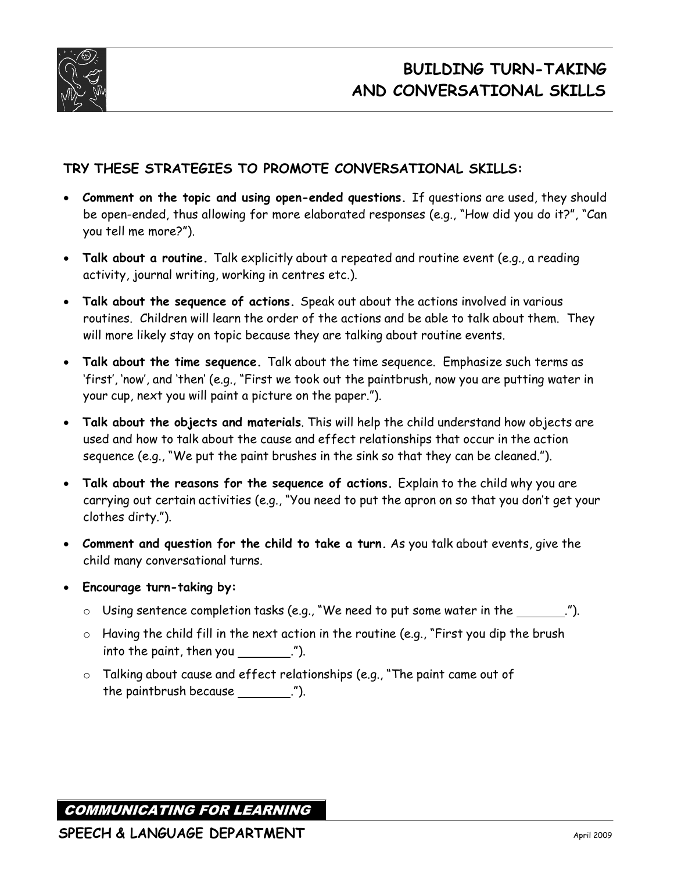

## **TRY THESE STRATEGIES TO PROMOTE CONVERSATIONAL SKILLS:**

- **Comment on the topic and using open-ended questions.** If questions are used, they should be open-ended, thus allowing for more elaborated responses (e.g., "How did you do it?", "Can you tell me more?").
- **Talk about a routine.** Talk explicitly about a repeated and routine event (e.g., a reading activity, journal writing, working in centres etc.).
- **Talk about the sequence of actions.** Speak out about the actions involved in various routines. Children will learn the order of the actions and be able to talk about them. They will more likely stay on topic because they are talking about routine events.
- **Talk about the time sequence.** Talk about the time sequence. Emphasize such terms as 'first', 'now', and 'then' (e.g., "First we took out the paintbrush, now you are putting water in your cup, next you will paint a picture on the paper.").
- **Talk about the objects and materials**. This will help the child understand how objects are used and how to talk about the cause and effect relationships that occur in the action sequence (e.g., "We put the paint brushes in the sink so that they can be cleaned.").
- **Talk about the reasons for the sequence of actions.** Explain to the child why you are carrying out certain activities (e.g., "You need to put the apron on so that you don't get your clothes dirty.").
- **Comment and question for the child to take a turn.** As you talk about events, give the child many conversational turns.
- **Encourage turn-taking by:**
	- $\circ$  Using sentence completion tasks (e.g., "We need to put some water in the \_\_\_\_\_\_.").
	- $\circ$  Having the child fill in the next action in the routine (e.g., "First you dip the brush  $\frac{1}{10}$  into the paint, then you  $\frac{1}{10}$ .
	- o Talking about cause and effect relationships (e.g., "The paint came out of the paintbrush because  $\frac{1}{1}$ . (").